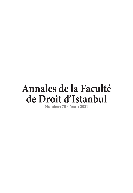<span id="page-0-0"></span>**Number: 70 • Year: 2021**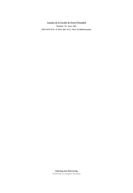**Number: 70 • Year: 2021**

**ISSN: 0578-9745 • E-ISSN: 2687-4113 • DOI: 10.26650/annales**

**Indexing and Abstracting TÜBİTAK-ULAKBİM TR Index**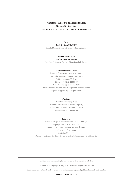### **Number: 70 • Year: 2021**

#### **ISSN: 0578-9745 • E-ISSN: 2687-4113 • DOI: 10.26650/annales**

# **Owner Prof. Dr. Ömer EKMEKÇİ**

**Istanbul University, Faculty of Law, Istanbul, Turkey**

#### **Responsible Manager Prof. Dr. Halil AKKANAT**

**Istanbul University, Faculty of Law, Istanbul, Turkey**

#### **Correspondence Address**

**İstanbul Üniversitesi, Hukuk Fakültesi, İstanbul Üniversitesi, Beyazıt Kampüsü, 34116 / İstanbul, Türkiye Phone: +90 (212) 440 01 05 E-mail: annales@istanbul.edu.tr https://iupress.istanbul.edu.tr/en/journal/annales/home https://dergipark.org.tr/tr/pub/iuafdi**

#### **Publisher**

**Istanbul University Press İstanbul Üniversitesi Merkez Kampüsü, 34452 Beyazıt, Fatih / İstanbul, Türkiye Phone: +90 (212) 440 00 00**

#### **Printed by**

**Birlik Fotokopi Baskı Ozalit Gıda San. Tic. Ltd. Şti. Nispetiye Mah. Birlik Sokak No: 2 Nevin Arıcan Plaza 1. Levent/Beşiktaş/İstanbul Tel: +90 (212) 269 30 00 Sertifika No: 20179 Basımı ve dağıtımı On İki Levha Yayıncılık A.Ş. tarafından yürütülmüştür.**

**Authors bear responsibility for the content of their published articles.** 

**The publication languages of the journal are French, English and German.**

**This is a scholarly, international, peer-reviewed and open-access journal published annually in December.**

**Publication Type: Periodical**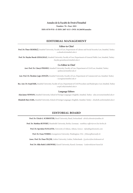**Number: 70 • Year: 2021**

**ISSN: 0578-9745 • E-ISSN: 2687-4113 • DOI: 10.26650/annales**

# **EDITORIAL MANAGEMENT**

#### **Editor-in-Chief**

**Prof. Dr. Ömer EKMEKÇİ, Istanbul University, Faculty of Law, Department of Labour and Social Security Law, Istanbul, Turkey** *- o.ekmekci@istanbul.edu.tr*

**Prof. Dr. Haydar Burak GEMALMAZ, Istanbul University, Faculty of Law, Department of General Public Law, Istanbul, Turkey** *- haydar.gemalmaz@istanbul.edu.tr*

#### **Co-Editor in Chief**

**Asst. Prof. Dr. Cüneyt PEKMEZ, Istanbul University, Faculty of Law, Department of Civil Law, Istanbul, Turkey** *- cpekmez@istanbul.edu.tr*

**Asst. Prof. Dr. İbrahim Çağrı ZENGİN, Istanbul University, Faculty of Law, Department of Commercial Law, Istanbul, Turkey** *- iczengin@istanbul.edu.tr*

**Res. Asst. Dr. Serpil IŞIK, Istanbul University, Faculty of Law, Department of Civil Procedure and Bankruptcy Law, Istanbul, Turkey** *- serpil.isik@istanbul.edu.tr*

#### **Language Editors**

**Alan James NEWSON, Istanbul University, School of Foreign Languages (English), Istanbul, Turkey** *- alan.newson@istanbul.edu.tr*

**Elizabeth Mary EARL, Istanbul University, School of Foreign Languages (English), Istanbul, Turkey** *- elizabeth.earl@istanbul.edu.tr*

# **EDITORIAL BOARD**

**Prof. Dr. Ulrich G. SCHROETER, Basel University, Basel, Switzerland -** *ulrich.schroeter@unibas.ch*

**Prof. Dr. Matthias RUFFERT, Humboldt University, Berlin, Germany** *- matthias.ruffert@rewi.hu-berlin.de*

**Prof. Dr. Spyridon FLOGAITIS, University of Athens, Athens, Greece** *- info@flogaitissioutis.com*

**Prof. Dr. Franz WERRO, Georgetown University, Washington, USA** *- fribourgllm@unifr.ch*

**Assoc. Prof. Dr. Pınar ÖLÇER, Leiden University, Leiden, Netherlands** *- f.p.olcer@law.leidenuniv.nl*

**Prof. Dr. Silke Ruth LASKOWSKI, Kassel University, Kassel, Germany** *- Laskowski@uni-kassel.de*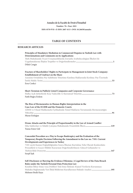**Number: 70 • Year: 2021**

**ISSN: 0578-9745 • E-ISSN: 2687-4113 • DOI: 10.26650/annales**

# **TABLE OF CONTENTS**

# **RESEARCH ARTICLES**

| Principles of Mandatory Mediation in Commercial Disputes in Turkish Law with<br>Determinations and Comments on its Applications<br>Türk Hukukunda Ticari Uyuşmazlıklarda Zorunlu Arabuluculuğun İlkeleri ile<br>Dilek Cengiz                                                                                                                                                                |
|---------------------------------------------------------------------------------------------------------------------------------------------------------------------------------------------------------------------------------------------------------------------------------------------------------------------------------------------------------------------------------------------|
| Fracture of Shareholders' Rights to Participate in Management in Joint Stock Company:<br>Establishment of Usufruct on the Share<br>Anonim Ortaklıkta Pay Sahibinin Yönetime Katılma Haklarında Kırılma: Pay Üzerinde<br>Esra Cenkci                                                                                                                                                         |
| Short-Termism in Publicly Listed Companies and Corporate Governance<br>Fatih Buğra Erdem                                                                                                                                                                                                                                                                                                    |
| The Rise of Hermeneutics in Human Rights Interpretation in the<br>Case-Law of the ECtHR and the Domestic Courts<br>AİHM ve Ulusal Mahkemeler İçtihadında Temel Hakların Yorumunda Hermeneutiğin<br>Murat Erdoğan                                                                                                                                                                            |
| Drone Attacks and the Principle of Proportionality in the Law of Armed Conflict<br>Yunus Emre Gül                                                                                                                                                                                                                                                                                           |
| Concordat Procedure as a Way to Escape Bankruptcy and the Evaluation of the<br>Temporary Respite Decision Following the Amendment to the Law no. 7101: Current<br>Developments and Experiences in Turkey<br>7101 sayılı Kanun Değişikliğinden Sonra İflastan Kurtulma Yolu Olarak Konkordato<br>Prosedürü ve Geçici Mühlet Kararının Değerlendirilmesi: Güncel Gelişmeler ve<br>Serpil Isık |
| Self-Disclosure or Burying the Evidence Dilemma: A Legal Review of the Data Breach<br>Rules under the Turkish Personal Data Protection Law<br>Kendini İhbar Etme veya Delilleri Yok Etme İkilemi: Kişisel Verilerin Korunması<br>Hukuku Bağlamında Veri İhlal Bildirimi Kurallarının Hukuki Analizi  195                                                                                    |

[Mehmet Bedii Kaya](#page-0-0)